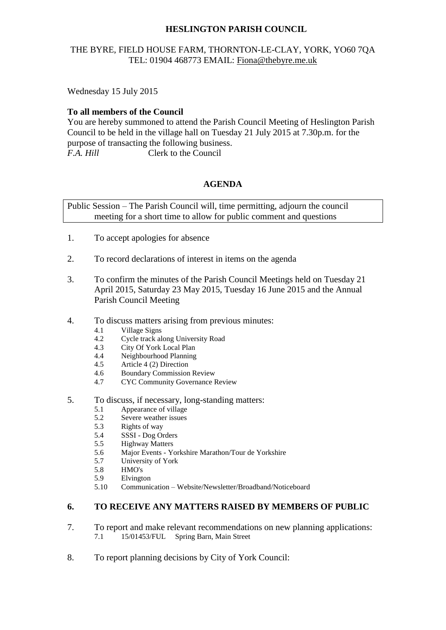# **HESLINGTON PARISH COUNCIL**

# THE BYRE, FIELD HOUSE FARM, THORNTON-LE-CLAY, YORK, YO60 7QA TEL: 01904 468773 EMAIL: [Fiona@thebyre.me.uk](mailto:Fiona@thebyre.me.uk)

Wednesday 15 July 2015

#### **To all members of the Council**

You are hereby summoned to attend the Parish Council Meeting of Heslington Parish Council to be held in the village hall on Tuesday 21 July 2015 at 7.30p.m. for the purpose of transacting the following business. *F.A. Hill* Clerk to the Council

### **AGENDA**

Public Session – The Parish Council will, time permitting, adjourn the council meeting for a short time to allow for public comment and questions

- 1. To accept apologies for absence
- 2. To record declarations of interest in items on the agenda
- 3. To confirm the minutes of the Parish Council Meetings held on Tuesday 21 April 2015, Saturday 23 May 2015, Tuesday 16 June 2015 and the Annual Parish Council Meeting
- 4. To discuss matters arising from previous minutes:
	- 4.1 Village Signs
	- 4.2 Cycle track along University Road<br>4.3 City Of York Local Plan
	- 4.3 City Of York Local Plan<br>4.4 Neighbourhood Planning
	- 4.4 Neighbourhood Planning<br>4.5 Article 4 (2) Direction
	- Article 4 (2) Direction
	- 4.6 Boundary Commission Review
	- 4.7 CYC Community Governance Review
- 5. To discuss, if necessary, long-standing matters:
	- 5.1 Appearance of village
	- 5.2 Severe weather issues
	- 5.3 Rights of way
	- 5.4 SSSI Dog Orders
	- 5.5 Highway Matters
	- 5.6 Major Events Yorkshire Marathon/Tour de Yorkshire
	- 5.7 University of York
	- 5.8 HMO's
	- 5.9 Elvington
	- 5.10 Communication Website/Newsletter/Broadband/Noticeboard

# **6. TO RECEIVE ANY MATTERS RAISED BY MEMBERS OF PUBLIC**

- 7. To report and make relevant recommendations on new planning applications:<br>7.1 15/01453/FUL Spring Barn, Main Street 7.1 15/01453/FUL Spring Barn, Main Street
- 8. To report planning decisions by City of York Council: